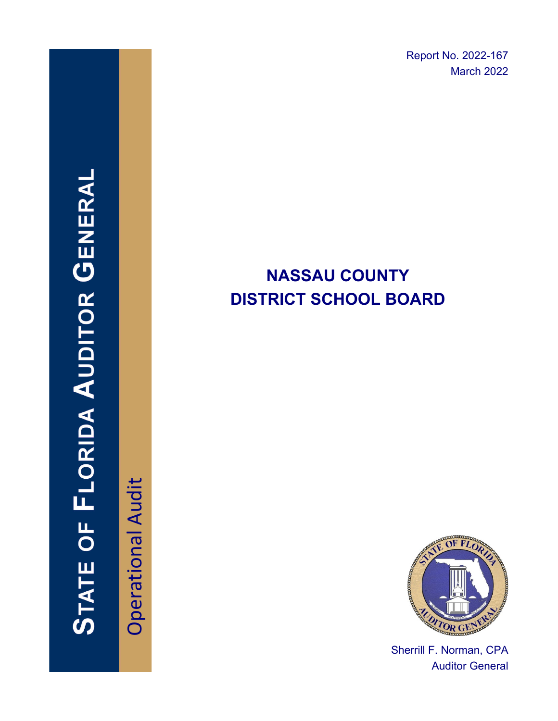Report No. 2022-167 March 2022

# **NASSAU COUNTY DISTRICT SCHOOL BOARD**



Sherrill F. Norman, CPA Auditor General

# **STATE OF FLORIDA AUDITOR GENERAL**

**Operational Audit** Operational Audit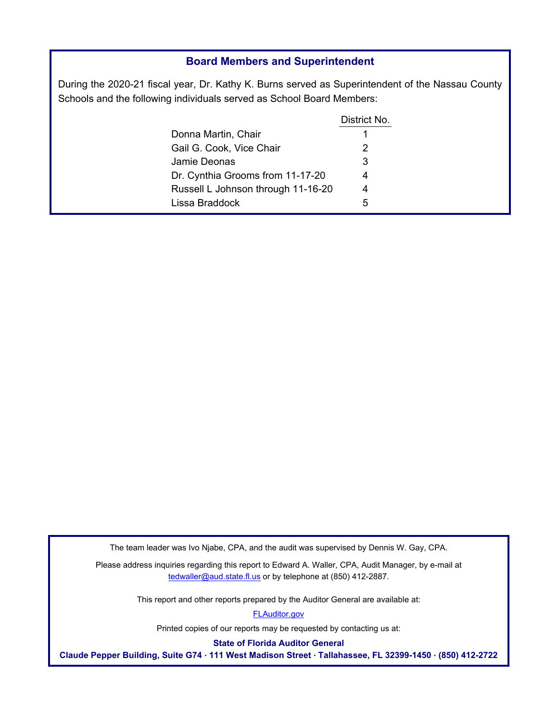### **Board Members and Superintendent**

During the 2020-21 fiscal year, Dr. Kathy K. Burns served as Superintendent of the Nassau County Schools and the following individuals served as School Board Members:

|                                    | District No. |
|------------------------------------|--------------|
| Donna Martin, Chair                | 1            |
| Gail G. Cook, Vice Chair           | 2            |
| Jamie Deonas                       | 3            |
| Dr. Cynthia Grooms from 11-17-20   | 4            |
| Russell L Johnson through 11-16-20 | 4            |
| Lissa Braddock                     | 5            |

The team leader was Ivo Njabe, CPA, and the audit was supervised by Dennis W. Gay, CPA.

Please address inquiries regarding this report to Edward A. Waller, CPA, Audit Manager, by e-mail at tedwaller@aud.state.fl.us or by telephone at (850) 412-2887.

This report and other reports prepared by the Auditor General are available at:

[FLAuditor.gov](http://flauditor.gov/)

Printed copies of our reports may be requested by contacting us at:

**State of Florida Auditor General** 

**Claude Pepper Building, Suite G74 · 111 West Madison Street · Tallahassee, FL 32399-1450 · (850) 412-2722**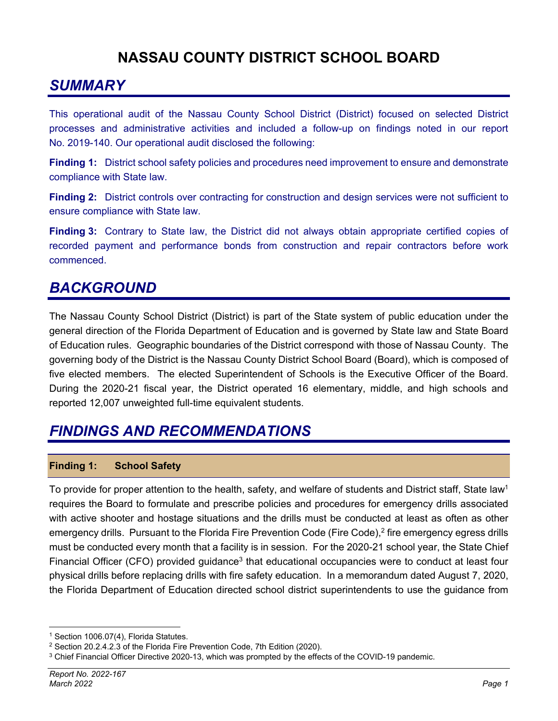# **NASSAU COUNTY DISTRICT SCHOOL BOARD**

# *SUMMARY*

This operational audit of the Nassau County School District (District) focused on selected District processes and administrative activities and included a follow-up on findings noted in our report No. 2019-140. Our operational audit disclosed the following:

**Finding 1:** District school safety policies and procedures need improvement to ensure and demonstrate compliance with State law.

**Finding 2:** District controls over contracting for construction and design services were not sufficient to ensure compliance with State law.

**Finding 3:** Contrary to State law, the District did not always obtain appropriate certified copies of recorded payment and performance bonds from construction and repair contractors before work commenced.

# *BACKGROUND*

The Nassau County School District (District) is part of the State system of public education under the general direction of the Florida Department of Education and is governed by State law and State Board of Education rules. Geographic boundaries of the District correspond with those of Nassau County. The governing body of the District is the Nassau County District School Board (Board), which is composed of five elected members. The elected Superintendent of Schools is the Executive Officer of the Board. During the 2020-21 fiscal year, the District operated 16 elementary, middle, and high schools and reported 12,007 unweighted full-time equivalent students.

# *FINDINGS AND RECOMMENDATIONS*

### **Finding 1: School Safety**

To provide for proper attention to the health, safety, and welfare of students and District staff, State law<sup>1</sup> requires the Board to formulate and prescribe policies and procedures for emergency drills associated with active shooter and hostage situations and the drills must be conducted at least as often as other emergency drills. Pursuant to the Florida Fire Prevention Code (Fire Code),<sup>2</sup> fire emergency egress drills must be conducted every month that a facility is in session. For the 2020-21 school year, the State Chief Financial Officer (CFO) provided guidance<sup>3</sup> that educational occupancies were to conduct at least four physical drills before replacing drills with fire safety education. In a memorandum dated August 7, 2020, the Florida Department of Education directed school district superintendents to use the guidance from

<sup>1</sup> Section 1006.07(4), Florida Statutes.

<sup>&</sup>lt;sup>2</sup> Section 20.2.4.2.3 of the Florida Fire Prevention Code, 7th Edition (2020).<br><sup>3</sup> Chief Financial Officer Directive 2020-13, which was prompted by the effects of the COVID-19 pandemic.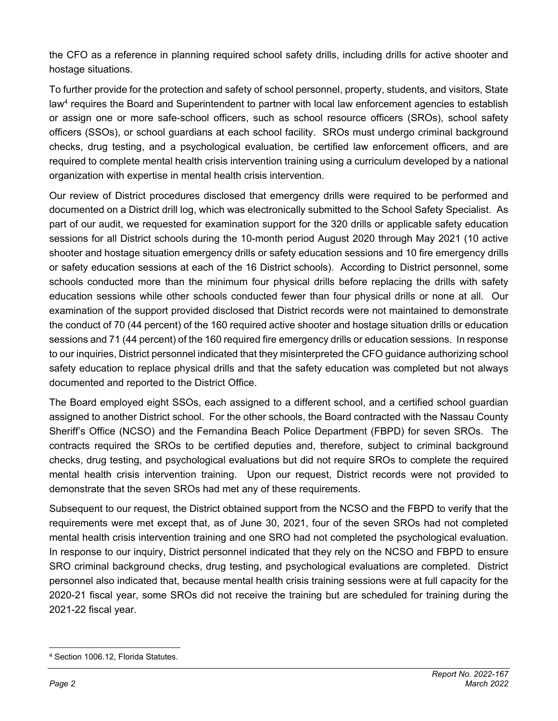the CFO as a reference in planning required school safety drills, including drills for active shooter and hostage situations.

To further provide for the protection and safety of school personnel, property, students, and visitors, State law4 requires the Board and Superintendent to partner with local law enforcement agencies to establish or assign one or more safe-school officers, such as school resource officers (SROs), school safety officers (SSOs), or school guardians at each school facility. SROs must undergo criminal background checks, drug testing, and a psychological evaluation, be certified law enforcement officers, and are required to complete mental health crisis intervention training using a curriculum developed by a national organization with expertise in mental health crisis intervention.

Our review of District procedures disclosed that emergency drills were required to be performed and documented on a District drill log, which was electronically submitted to the School Safety Specialist. As part of our audit, we requested for examination support for the 320 drills or applicable safety education sessions for all District schools during the 10-month period August 2020 through May 2021 (10 active shooter and hostage situation emergency drills or safety education sessions and 10 fire emergency drills or safety education sessions at each of the 16 District schools). According to District personnel, some schools conducted more than the minimum four physical drills before replacing the drills with safety education sessions while other schools conducted fewer than four physical drills or none at all. Our examination of the support provided disclosed that District records were not maintained to demonstrate the conduct of 70 (44 percent) of the 160 required active shooter and hostage situation drills or education sessions and 71 (44 percent) of the 160 required fire emergency drills or education sessions. In response to our inquiries, District personnel indicated that they misinterpreted the CFO guidance authorizing school safety education to replace physical drills and that the safety education was completed but not always documented and reported to the District Office.

The Board employed eight SSOs, each assigned to a different school, and a certified school guardian assigned to another District school. For the other schools, the Board contracted with the Nassau County Sheriff's Office (NCSO) and the Fernandina Beach Police Department (FBPD) for seven SROs. The contracts required the SROs to be certified deputies and, therefore, subject to criminal background checks, drug testing, and psychological evaluations but did not require SROs to complete the required mental health crisis intervention training. Upon our request, District records were not provided to demonstrate that the seven SROs had met any of these requirements.

Subsequent to our request, the District obtained support from the NCSO and the FBPD to verify that the requirements were met except that, as of June 30, 2021, four of the seven SROs had not completed mental health crisis intervention training and one SRO had not completed the psychological evaluation. In response to our inquiry, District personnel indicated that they rely on the NCSO and FBPD to ensure SRO criminal background checks, drug testing, and psychological evaluations are completed. District personnel also indicated that, because mental health crisis training sessions were at full capacity for the 2020-21 fiscal year, some SROs did not receive the training but are scheduled for training during the 2021-22 fiscal year.

<sup>4</sup> Section 1006.12, Florida Statutes.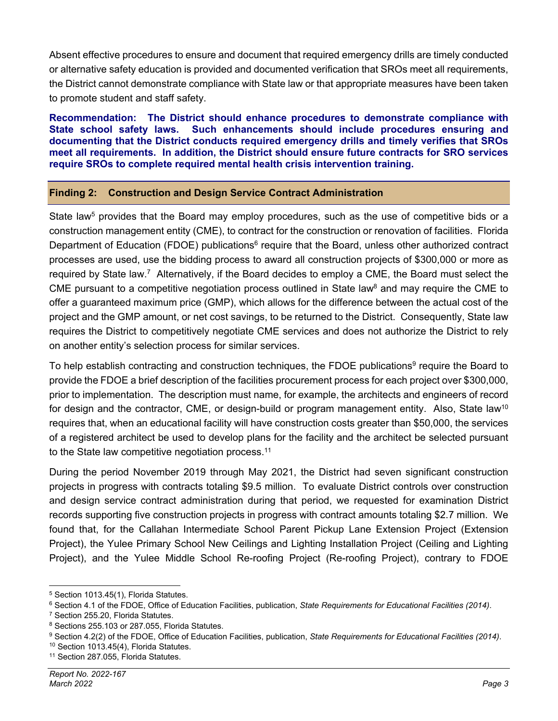Absent effective procedures to ensure and document that required emergency drills are timely conducted or alternative safety education is provided and documented verification that SROs meet all requirements, the District cannot demonstrate compliance with State law or that appropriate measures have been taken to promote student and staff safety.

**Recommendation: The District should enhance procedures to demonstrate compliance with State school safety laws. Such enhancements should include procedures ensuring and documenting that the District conducts required emergency drills and timely verifies that SROs meet all requirements. In addition, the District should ensure future contracts for SRO services require SROs to complete required mental health crisis intervention training.** 

### **Finding 2: Construction and Design Service Contract Administration**

State law<sup>5</sup> provides that the Board may employ procedures, such as the use of competitive bids or a construction management entity (CME), to contract for the construction or renovation of facilities. Florida Department of Education (FDOE) publications<sup>6</sup> require that the Board, unless other authorized contract processes are used, use the bidding process to award all construction projects of \$300,000 or more as required by State law.7 Alternatively, if the Board decides to employ a CME, the Board must select the CME pursuant to a competitive negotiation process outlined in State law<sup>8</sup> and may require the CME to offer a guaranteed maximum price (GMP), which allows for the difference between the actual cost of the project and the GMP amount, or net cost savings, to be returned to the District. Consequently, State law requires the District to competitively negotiate CME services and does not authorize the District to rely on another entity's selection process for similar services.

To help establish contracting and construction techniques, the FDOE publications<sup>9</sup> require the Board to provide the FDOE a brief description of the facilities procurement process for each project over \$300,000, prior to implementation. The description must name, for example, the architects and engineers of record for design and the contractor, CME, or design-build or program management entity. Also, State law<sup>10</sup> requires that, when an educational facility will have construction costs greater than \$50,000, the services of a registered architect be used to develop plans for the facility and the architect be selected pursuant to the State law competitive negotiation process.<sup>11</sup>

During the period November 2019 through May 2021, the District had seven significant construction projects in progress with contracts totaling \$9.5 million. To evaluate District controls over construction and design service contract administration during that period, we requested for examination District records supporting five construction projects in progress with contract amounts totaling \$2.7 million. We found that, for the Callahan Intermediate School Parent Pickup Lane Extension Project (Extension Project), the Yulee Primary School New Ceilings and Lighting Installation Project (Ceiling and Lighting Project), and the Yulee Middle School Re-roofing Project (Re-roofing Project), contrary to FDOE

<sup>5</sup> Section 1013.45(1), Florida Statutes.

<sup>&</sup>lt;sup>6</sup> Section 4.1 of the FDOE, Office of Education Facilities, publication, *State Requirements for Educational Facilities (2014)*.<br><sup>7</sup> Section 255.20, Florida Statutes.

<sup>&</sup>lt;sup>8</sup> Sections 255.103 or 287.055, Florida Statutes.<br><sup>9</sup> Section 4.2(2) of the FDOE, Office of Education Facilities, publication, State Requirements for Educational Facilities (2014).<br><sup>10</sup> Section 1013.45(4), Florida Statute

<sup>&</sup>lt;sup>11</sup> Section 287.055, Florida Statutes.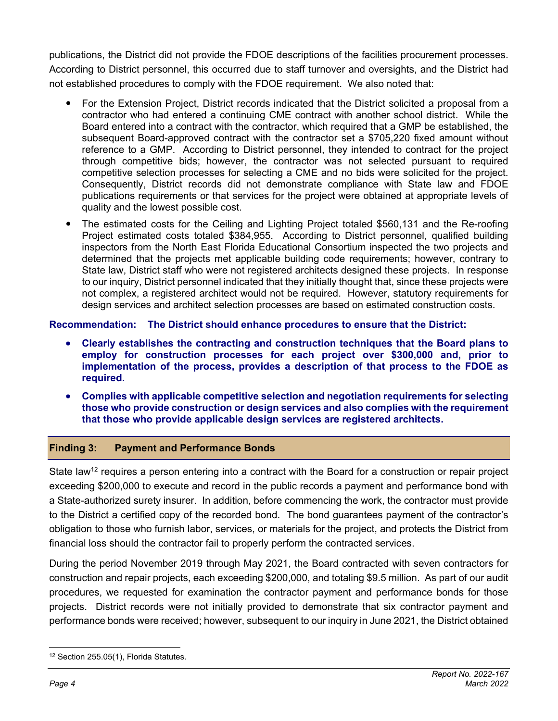publications, the District did not provide the FDOE descriptions of the facilities procurement processes. According to District personnel, this occurred due to staff turnover and oversights, and the District had not established procedures to comply with the FDOE requirement. We also noted that:

- For the Extension Project, District records indicated that the District solicited a proposal from a contractor who had entered a continuing CME contract with another school district. While the Board entered into a contract with the contractor, which required that a GMP be established, the subsequent Board-approved contract with the contractor set a \$705,220 fixed amount without reference to a GMP. According to District personnel, they intended to contract for the project through competitive bids; however, the contractor was not selected pursuant to required competitive selection processes for selecting a CME and no bids were solicited for the project. Consequently, District records did not demonstrate compliance with State law and FDOE publications requirements or that services for the project were obtained at appropriate levels of quality and the lowest possible cost.
- The estimated costs for the Ceiling and Lighting Project totaled \$560,131 and the Re-roofing Project estimated costs totaled \$384,955. According to District personnel, qualified building inspectors from the North East Florida Educational Consortium inspected the two projects and determined that the projects met applicable building code requirements; however, contrary to State law, District staff who were not registered architects designed these projects. In response to our inquiry, District personnel indicated that they initially thought that, since these projects were not complex, a registered architect would not be required. However, statutory requirements for design services and architect selection processes are based on estimated construction costs.

### **Recommendation: The District should enhance procedures to ensure that the District:**

- **Clearly establishes the contracting and construction techniques that the Board plans to employ for construction processes for each project over \$300,000 and, prior to implementation of the process, provides a description of that process to the FDOE as required.**
- **Complies with applicable competitive selection and negotiation requirements for selecting those who provide construction or design services and also complies with the requirement that those who provide applicable design services are registered architects.**

### **Finding 3: Payment and Performance Bonds**

State law<sup>12</sup> requires a person entering into a contract with the Board for a construction or repair project exceeding \$200,000 to execute and record in the public records a payment and performance bond with a State-authorized surety insurer. In addition, before commencing the work, the contractor must provide to the District a certified copy of the recorded bond. The bond guarantees payment of the contractor's obligation to those who furnish labor, services, or materials for the project, and protects the District from financial loss should the contractor fail to properly perform the contracted services.

During the period November 2019 through May 2021, the Board contracted with seven contractors for construction and repair projects, each exceeding \$200,000, and totaling \$9.5 million. As part of our audit procedures, we requested for examination the contractor payment and performance bonds for those projects. District records were not initially provided to demonstrate that six contractor payment and performance bonds were received; however, subsequent to our inquiry in June 2021, the District obtained

<sup>&</sup>lt;sup>12</sup> Section 255.05(1), Florida Statutes.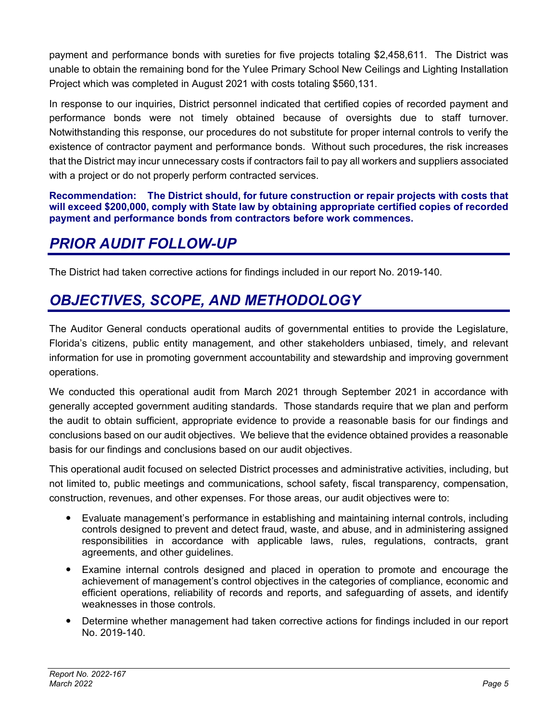payment and performance bonds with sureties for five projects totaling \$2,458,611. The District was unable to obtain the remaining bond for the Yulee Primary School New Ceilings and Lighting Installation Project which was completed in August 2021 with costs totaling \$560,131.

In response to our inquiries, District personnel indicated that certified copies of recorded payment and performance bonds were not timely obtained because of oversights due to staff turnover. Notwithstanding this response, our procedures do not substitute for proper internal controls to verify the existence of contractor payment and performance bonds. Without such procedures, the risk increases that the District may incur unnecessary costs if contractors fail to pay all workers and suppliers associated with a project or do not properly perform contracted services.

### **Recommendation: The District should, for future construction or repair projects with costs that will exceed \$200,000, comply with State law by obtaining appropriate certified copies of recorded payment and performance bonds from contractors before work commences.**

# *PRIOR AUDIT FOLLOW-UP*

The District had taken corrective actions for findings included in our report No. 2019-140.

# *OBJECTIVES, SCOPE, AND METHODOLOGY*

The Auditor General conducts operational audits of governmental entities to provide the Legislature, Florida's citizens, public entity management, and other stakeholders unbiased, timely, and relevant information for use in promoting government accountability and stewardship and improving government operations.

We conducted this operational audit from March 2021 through September 2021 in accordance with generally accepted government auditing standards. Those standards require that we plan and perform the audit to obtain sufficient, appropriate evidence to provide a reasonable basis for our findings and conclusions based on our audit objectives. We believe that the evidence obtained provides a reasonable basis for our findings and conclusions based on our audit objectives.

This operational audit focused on selected District processes and administrative activities, including, but not limited to, public meetings and communications, school safety, fiscal transparency, compensation, construction, revenues, and other expenses. For those areas, our audit objectives were to:

- Evaluate management's performance in establishing and maintaining internal controls, including controls designed to prevent and detect fraud, waste, and abuse, and in administering assigned responsibilities in accordance with applicable laws, rules, regulations, contracts, grant agreements, and other guidelines.
- Examine internal controls designed and placed in operation to promote and encourage the achievement of management's control objectives in the categories of compliance, economic and efficient operations, reliability of records and reports, and safeguarding of assets, and identify weaknesses in those controls.
- Determine whether management had taken corrective actions for findings included in our report No. 2019-140.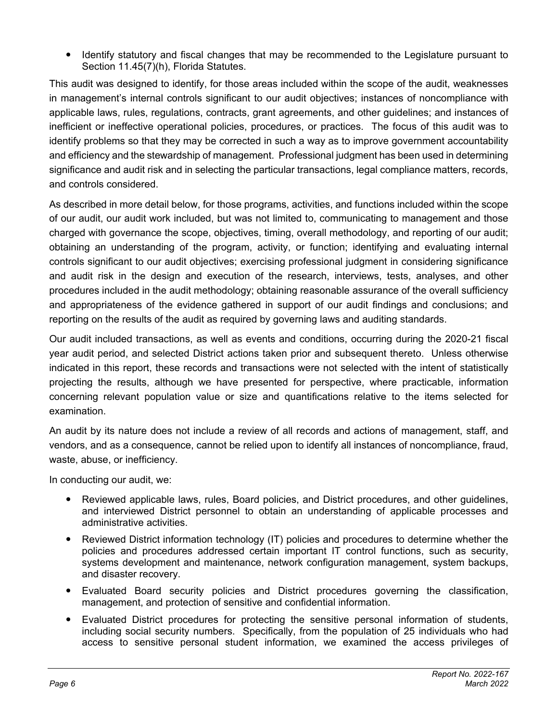Identify statutory and fiscal changes that may be recommended to the Legislature pursuant to Section 11.45(7)(h), Florida Statutes.

This audit was designed to identify, for those areas included within the scope of the audit, weaknesses in management's internal controls significant to our audit objectives; instances of noncompliance with applicable laws, rules, regulations, contracts, grant agreements, and other guidelines; and instances of inefficient or ineffective operational policies, procedures, or practices. The focus of this audit was to identify problems so that they may be corrected in such a way as to improve government accountability and efficiency and the stewardship of management. Professional judgment has been used in determining significance and audit risk and in selecting the particular transactions, legal compliance matters, records, and controls considered.

As described in more detail below, for those programs, activities, and functions included within the scope of our audit, our audit work included, but was not limited to, communicating to management and those charged with governance the scope, objectives, timing, overall methodology, and reporting of our audit; obtaining an understanding of the program, activity, or function; identifying and evaluating internal controls significant to our audit objectives; exercising professional judgment in considering significance and audit risk in the design and execution of the research, interviews, tests, analyses, and other procedures included in the audit methodology; obtaining reasonable assurance of the overall sufficiency and appropriateness of the evidence gathered in support of our audit findings and conclusions; and reporting on the results of the audit as required by governing laws and auditing standards.

Our audit included transactions, as well as events and conditions, occurring during the 2020-21 fiscal year audit period, and selected District actions taken prior and subsequent thereto. Unless otherwise indicated in this report, these records and transactions were not selected with the intent of statistically projecting the results, although we have presented for perspective, where practicable, information concerning relevant population value or size and quantifications relative to the items selected for examination.

An audit by its nature does not include a review of all records and actions of management, staff, and vendors, and as a consequence, cannot be relied upon to identify all instances of noncompliance, fraud, waste, abuse, or inefficiency.

In conducting our audit, we:

- Reviewed applicable laws, rules, Board policies, and District procedures, and other guidelines, and interviewed District personnel to obtain an understanding of applicable processes and administrative activities.
- Reviewed District information technology (IT) policies and procedures to determine whether the policies and procedures addressed certain important IT control functions, such as security, systems development and maintenance, network configuration management, system backups, and disaster recovery.
- Evaluated Board security policies and District procedures governing the classification, management, and protection of sensitive and confidential information.
- Evaluated District procedures for protecting the sensitive personal information of students, including social security numbers. Specifically, from the population of 25 individuals who had access to sensitive personal student information, we examined the access privileges of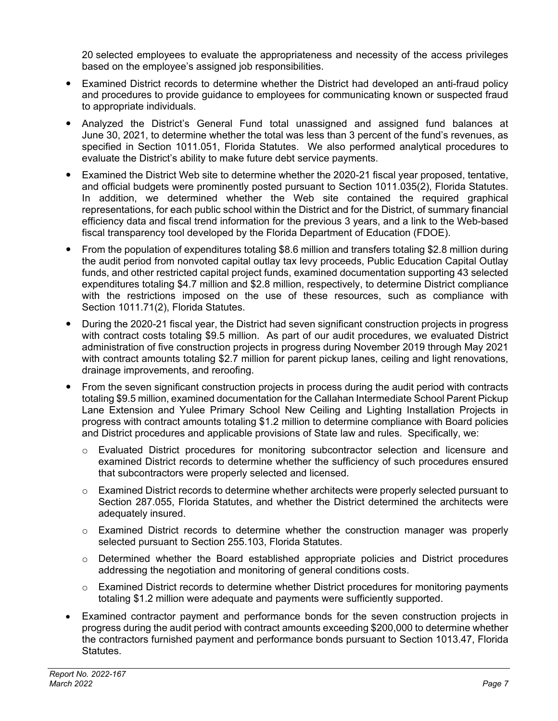20 selected employees to evaluate the appropriateness and necessity of the access privileges based on the employee's assigned job responsibilities.

- Examined District records to determine whether the District had developed an anti-fraud policy and procedures to provide guidance to employees for communicating known or suspected fraud to appropriate individuals.
- Analyzed the District's General Fund total unassigned and assigned fund balances at June 30, 2021, to determine whether the total was less than 3 percent of the fund's revenues, as specified in Section 1011.051, Florida Statutes. We also performed analytical procedures to evaluate the District's ability to make future debt service payments.
- Examined the District Web site to determine whether the 2020-21 fiscal year proposed, tentative, and official budgets were prominently posted pursuant to Section 1011.035(2), Florida Statutes. In addition, we determined whether the Web site contained the required graphical representations, for each public school within the District and for the District, of summary financial efficiency data and fiscal trend information for the previous 3 years, and a link to the Web-based fiscal transparency tool developed by the Florida Department of Education (FDOE).
- From the population of expenditures totaling \$8.6 million and transfers totaling \$2.8 million during the audit period from nonvoted capital outlay tax levy proceeds, Public Education Capital Outlay funds, and other restricted capital project funds, examined documentation supporting 43 selected expenditures totaling \$4.7 million and \$2.8 million, respectively, to determine District compliance with the restrictions imposed on the use of these resources, such as compliance with Section 1011.71(2), Florida Statutes.
- During the 2020-21 fiscal year, the District had seven significant construction projects in progress with contract costs totaling \$9.5 million. As part of our audit procedures, we evaluated District administration of five construction projects in progress during November 2019 through May 2021 with contract amounts totaling \$2.7 million for parent pickup lanes, ceiling and light renovations, drainage improvements, and reroofing.
- From the seven significant construction projects in process during the audit period with contracts totaling \$9.5 million, examined documentation for the Callahan Intermediate School Parent Pickup Lane Extension and Yulee Primary School New Ceiling and Lighting Installation Projects in progress with contract amounts totaling \$1.2 million to determine compliance with Board policies and District procedures and applicable provisions of State law and rules. Specifically, we:
	- o Evaluated District procedures for monitoring subcontractor selection and licensure and examined District records to determine whether the sufficiency of such procedures ensured that subcontractors were properly selected and licensed.
	- $\circ$  Examined District records to determine whether architects were properly selected pursuant to Section 287.055, Florida Statutes, and whether the District determined the architects were adequately insured.
	- $\circ$  Examined District records to determine whether the construction manager was properly selected pursuant to Section 255.103, Florida Statutes.
	- $\circ$  Determined whether the Board established appropriate policies and District procedures addressing the negotiation and monitoring of general conditions costs.
	- $\circ$  Examined District records to determine whether District procedures for monitoring payments totaling \$1.2 million were adequate and payments were sufficiently supported.
- Examined contractor payment and performance bonds for the seven construction projects in progress during the audit period with contract amounts exceeding \$200,000 to determine whether the contractors furnished payment and performance bonds pursuant to Section 1013.47, Florida Statutes.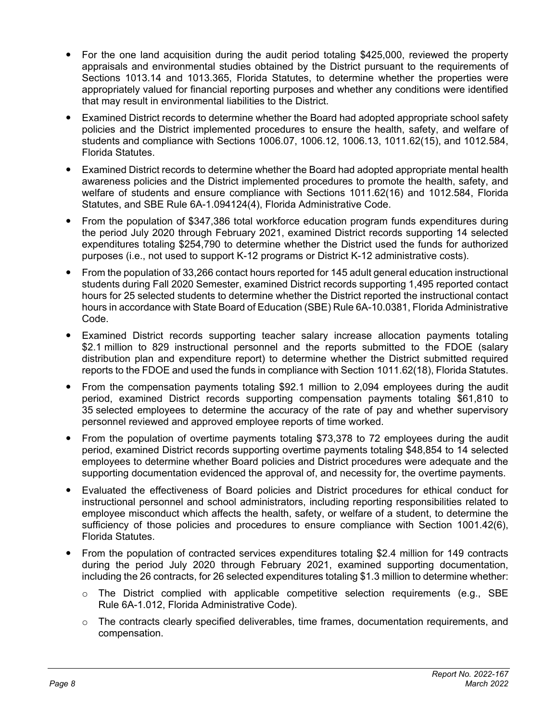- For the one land acquisition during the audit period totaling \$425,000, reviewed the property appraisals and environmental studies obtained by the District pursuant to the requirements of Sections 1013.14 and 1013.365, Florida Statutes, to determine whether the properties were appropriately valued for financial reporting purposes and whether any conditions were identified that may result in environmental liabilities to the District.
- Examined District records to determine whether the Board had adopted appropriate school safety policies and the District implemented procedures to ensure the health, safety, and welfare of students and compliance with Sections 1006.07, 1006.12, 1006.13, 1011.62(15), and 1012.584, Florida Statutes.
- Examined District records to determine whether the Board had adopted appropriate mental health awareness policies and the District implemented procedures to promote the health, safety, and welfare of students and ensure compliance with Sections 1011.62(16) and 1012.584, Florida Statutes, and SBE Rule 6A-1.094124(4), Florida Administrative Code.
- From the population of \$347,386 total workforce education program funds expenditures during the period July 2020 through February 2021, examined District records supporting 14 selected expenditures totaling \$254,790 to determine whether the District used the funds for authorized purposes (i.e., not used to support K-12 programs or District K-12 administrative costs).
- From the population of 33,266 contact hours reported for 145 adult general education instructional students during Fall 2020 Semester, examined District records supporting 1,495 reported contact hours for 25 selected students to determine whether the District reported the instructional contact hours in accordance with State Board of Education (SBE) Rule 6A-10.0381, Florida Administrative Code.
- Examined District records supporting teacher salary increase allocation payments totaling \$2.1 million to 829 instructional personnel and the reports submitted to the FDOE (salary distribution plan and expenditure report) to determine whether the District submitted required reports to the FDOE and used the funds in compliance with Section 1011.62(18), Florida Statutes.
- From the compensation payments totaling \$92.1 million to 2,094 employees during the audit period, examined District records supporting compensation payments totaling \$61,810 to 35 selected employees to determine the accuracy of the rate of pay and whether supervisory personnel reviewed and approved employee reports of time worked.
- From the population of overtime payments totaling \$73,378 to 72 employees during the audit period, examined District records supporting overtime payments totaling \$48,854 to 14 selected employees to determine whether Board policies and District procedures were adequate and the supporting documentation evidenced the approval of, and necessity for, the overtime payments.
- Evaluated the effectiveness of Board policies and District procedures for ethical conduct for instructional personnel and school administrators, including reporting responsibilities related to employee misconduct which affects the health, safety, or welfare of a student, to determine the sufficiency of those policies and procedures to ensure compliance with Section 1001.42(6), Florida Statutes.
- From the population of contracted services expenditures totaling \$2.4 million for 149 contracts during the period July 2020 through February 2021, examined supporting documentation, including the 26 contracts, for 26 selected expenditures totaling \$1.3 million to determine whether:
	- $\circ$  The District complied with applicable competitive selection requirements (e.g., SBE Rule 6A-1.012, Florida Administrative Code).
	- $\circ$  The contracts clearly specified deliverables, time frames, documentation requirements, and compensation.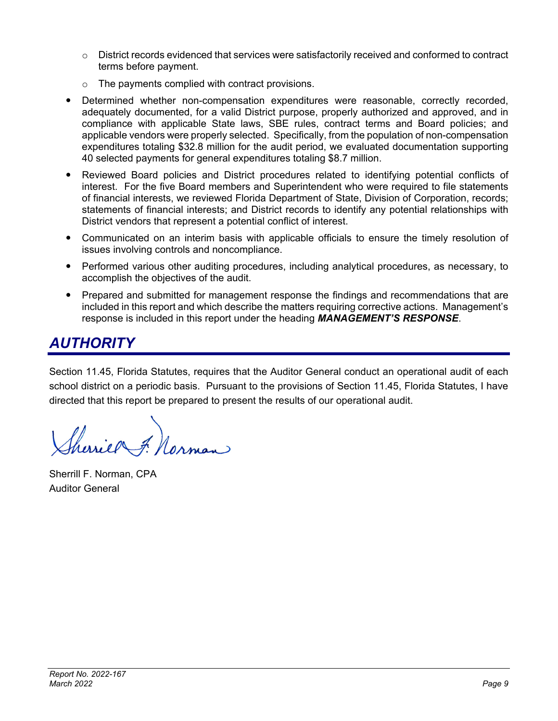- $\circ$  District records evidenced that services were satisfactorily received and conformed to contract terms before payment.
- $\circ$  The payments complied with contract provisions.
- Determined whether non-compensation expenditures were reasonable, correctly recorded, adequately documented, for a valid District purpose, properly authorized and approved, and in compliance with applicable State laws, SBE rules, contract terms and Board policies; and applicable vendors were properly selected. Specifically, from the population of non-compensation expenditures totaling \$32.8 million for the audit period, we evaluated documentation supporting 40 selected payments for general expenditures totaling \$8.7 million.
- Reviewed Board policies and District procedures related to identifying potential conflicts of interest. For the five Board members and Superintendent who were required to file statements of financial interests, we reviewed Florida Department of State, Division of Corporation, records; statements of financial interests; and District records to identify any potential relationships with District vendors that represent a potential conflict of interest.
- Communicated on an interim basis with applicable officials to ensure the timely resolution of issues involving controls and noncompliance.
- Performed various other auditing procedures, including analytical procedures, as necessary, to accomplish the objectives of the audit.
- Prepared and submitted for management response the findings and recommendations that are included in this report and which describe the matters requiring corrective actions. Management's response is included in this report under the heading *MANAGEMENT'S RESPONSE*.

# *AUTHORITY*

Section 11.45, Florida Statutes, requires that the Auditor General conduct an operational audit of each school district on a periodic basis. Pursuant to the provisions of Section 11.45, Florida Statutes, I have directed that this report be prepared to present the results of our operational audit.

Sheries F. Norman

Sherrill F. Norman, CPA Auditor General